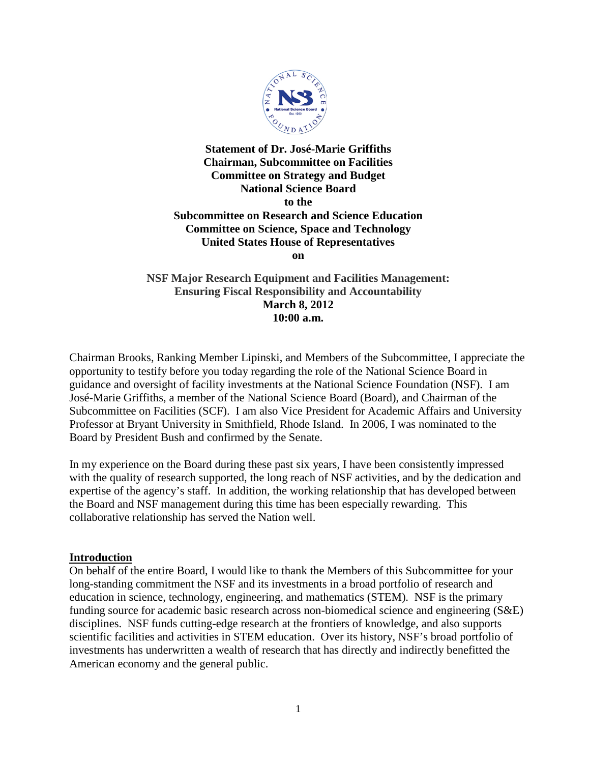

**Statement of Dr. José-Marie Griffiths Chairman, Subcommittee on Facilities Committee on Strategy and Budget National Science Board to the Subcommittee on Research and Science Education Committee on Science, Space and Technology United States House of Representatives on**

**NSF Major Research Equipment and Facilities Management: Ensuring Fiscal Responsibility and Accountability March 8, 2012 10:00 a.m.**

Chairman Brooks, Ranking Member Lipinski, and Members of the Subcommittee, I appreciate the opportunity to testify before you today regarding the role of the National Science Board in guidance and oversight of facility investments at the National Science Foundation (NSF). I am José-Marie Griffiths, a member of the National Science Board (Board), and Chairman of the Subcommittee on Facilities (SCF). I am also Vice President for Academic Affairs and University Professor at Bryant University in Smithfield, Rhode Island. In 2006, I was nominated to the Board by President Bush and confirmed by the Senate.

In my experience on the Board during these past six years, I have been consistently impressed with the quality of research supported, the long reach of NSF activities, and by the dedication and expertise of the agency's staff. In addition, the working relationship that has developed between the Board and NSF management during this time has been especially rewarding. This collaborative relationship has served the Nation well.

### **Introduction**

On behalf of the entire Board, I would like to thank the Members of this Subcommittee for your long-standing commitment the NSF and its investments in a broad portfolio of research and education in science, technology, engineering, and mathematics (STEM). NSF is the primary funding source for academic basic research across non-biomedical science and engineering (S&E) disciplines. NSF funds cutting-edge research at the frontiers of knowledge, and also supports scientific facilities and activities in STEM education. Over its history, NSF's broad portfolio of investments has underwritten a wealth of research that has directly and indirectly benefitted the American economy and the general public.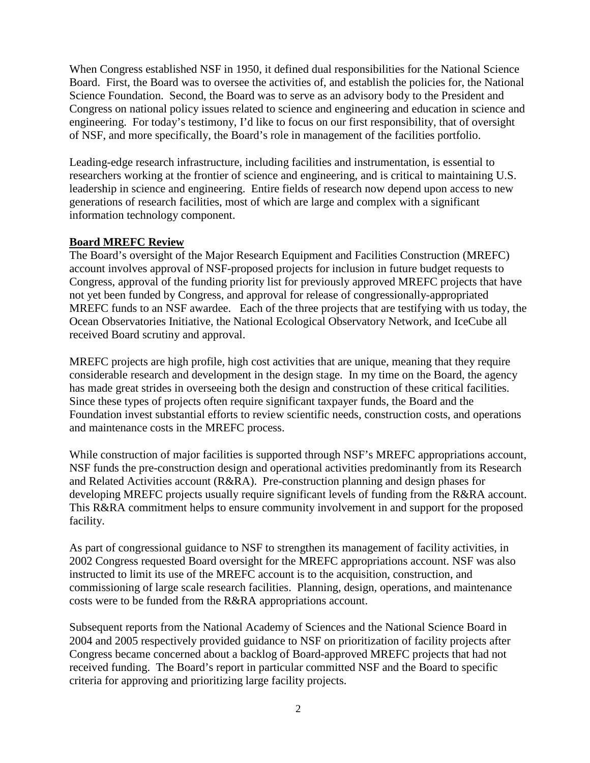When Congress established NSF in 1950, it defined dual responsibilities for the National Science Board. First, the Board was to oversee the activities of, and establish the policies for, the National Science Foundation. Second, the Board was to serve as an advisory body to the President and Congress on national policy issues related to science and engineering and education in science and engineering. For today's testimony, I'd like to focus on our first responsibility, that of oversight of NSF, and more specifically, the Board's role in management of the facilities portfolio.

Leading-edge research infrastructure, including facilities and instrumentation, is essential to researchers working at the frontier of science and engineering, and is critical to maintaining U.S. leadership in science and engineering. Entire fields of research now depend upon access to new generations of research facilities, most of which are large and complex with a significant information technology component.

## **Board MREFC Review**

The Board's oversight of the Major Research Equipment and Facilities Construction (MREFC) account involves approval of NSF-proposed projects for inclusion in future budget requests to Congress, approval of the funding priority list for previously approved MREFC projects that have not yet been funded by Congress, and approval for release of congressionally-appropriated MREFC funds to an NSF awardee. Each of the three projects that are testifying with us today, the Ocean Observatories Initiative, the National Ecological Observatory Network, and IceCube all received Board scrutiny and approval.

MREFC projects are high profile, high cost activities that are unique, meaning that they require considerable research and development in the design stage. In my time on the Board, the agency has made great strides in overseeing both the design and construction of these critical facilities. Since these types of projects often require significant taxpayer funds, the Board and the Foundation invest substantial efforts to review scientific needs, construction costs, and operations and maintenance costs in the MREFC process.

While construction of major facilities is supported through NSF's MREFC appropriations account, NSF funds the pre-construction design and operational activities predominantly from its Research and Related Activities account (R&RA). Pre-construction planning and design phases for developing MREFC projects usually require significant levels of funding from the R&RA account. This R&RA commitment helps to ensure community involvement in and support for the proposed facility.

As part of congressional guidance to NSF to strengthen its management of facility activities, in 2002 Congress requested Board oversight for the MREFC appropriations account. NSF was also instructed to limit its use of the MREFC account is to the acquisition, construction, and commissioning of large scale research facilities. Planning, design, operations, and maintenance costs were to be funded from the R&RA appropriations account.

Subsequent reports from the National Academy of Sciences and the National Science Board in 2004 and 2005 respectively provided guidance to NSF on prioritization of facility projects after Congress became concerned about a backlog of Board-approved MREFC projects that had not received funding. The Board's report in particular committed NSF and the Board to specific criteria for approving and prioritizing large facility projects.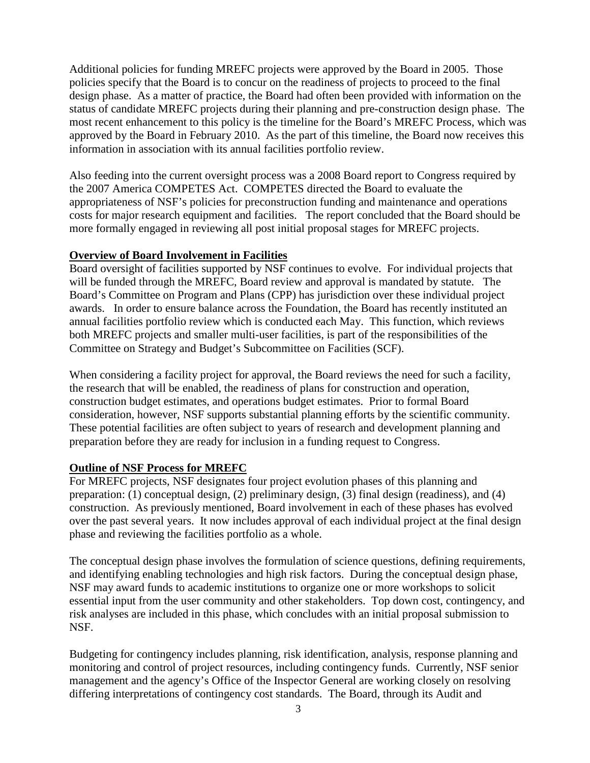Additional policies for funding MREFC projects were approved by the Board in 2005. Those policies specify that the Board is to concur on the readiness of projects to proceed to the final design phase. As a matter of practice, the Board had often been provided with information on the status of candidate MREFC projects during their planning and pre-construction design phase. The most recent enhancement to this policy is the timeline for the Board's MREFC Process, which was approved by the Board in February 2010. As the part of this timeline, the Board now receives this information in association with its annual facilities portfolio review.

Also feeding into the current oversight process was a 2008 Board report to Congress required by the 2007 America COMPETES Act. COMPETES directed the Board to evaluate the appropriateness of NSF's policies for preconstruction funding and maintenance and operations costs for major research equipment and facilities. The report concluded that the Board should be more formally engaged in reviewing all post initial proposal stages for MREFC projects.

### **Overview of Board Involvement in Facilities**

Board oversight of facilities supported by NSF continues to evolve. For individual projects that will be funded through the MREFC, Board review and approval is mandated by statute. The Board's Committee on Program and Plans (CPP) has jurisdiction over these individual project awards. In order to ensure balance across the Foundation, the Board has recently instituted an annual facilities portfolio review which is conducted each May. This function, which reviews both MREFC projects and smaller multi-user facilities, is part of the responsibilities of the Committee on Strategy and Budget's Subcommittee on Facilities (SCF).

When considering a facility project for approval, the Board reviews the need for such a facility, the research that will be enabled, the readiness of plans for construction and operation, construction budget estimates, and operations budget estimates. Prior to formal Board consideration, however, NSF supports substantial planning efforts by the scientific community. These potential facilities are often subject to years of research and development planning and preparation before they are ready for inclusion in a funding request to Congress.

# **Outline of NSF Process for MREFC**

For MREFC projects, NSF designates four project evolution phases of this planning and preparation: (1) conceptual design, (2) preliminary design, (3) final design (readiness), and (4) construction. As previously mentioned, Board involvement in each of these phases has evolved over the past several years. It now includes approval of each individual project at the final design phase and reviewing the facilities portfolio as a whole.

The conceptual design phase involves the formulation of science questions, defining requirements, and identifying enabling technologies and high risk factors. During the conceptual design phase, NSF may award funds to academic institutions to organize one or more workshops to solicit essential input from the user community and other stakeholders. Top down cost, contingency, and risk analyses are included in this phase, which concludes with an initial proposal submission to NSF.

Budgeting for contingency includes planning, risk identification, analysis, response planning and monitoring and control of project resources, including contingency funds. Currently, NSF senior management and the agency's Office of the Inspector General are working closely on resolving differing interpretations of contingency cost standards. The Board, through its Audit and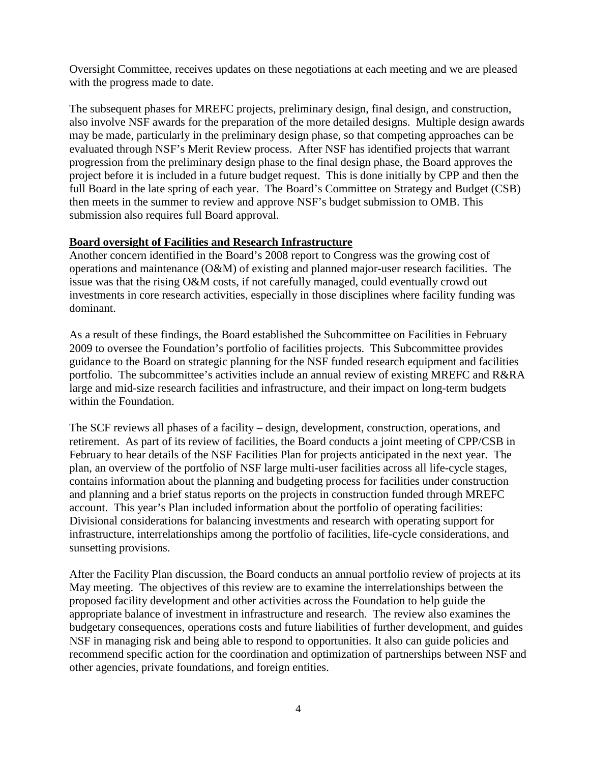Oversight Committee, receives updates on these negotiations at each meeting and we are pleased with the progress made to date.

The subsequent phases for MREFC projects, preliminary design, final design, and construction, also involve NSF awards for the preparation of the more detailed designs. Multiple design awards may be made, particularly in the preliminary design phase, so that competing approaches can be evaluated through NSF's Merit Review process. After NSF has identified projects that warrant progression from the preliminary design phase to the final design phase, the Board approves the project before it is included in a future budget request. This is done initially by CPP and then the full Board in the late spring of each year. The Board's Committee on Strategy and Budget (CSB) then meets in the summer to review and approve NSF's budget submission to OMB. This submission also requires full Board approval.

## **Board oversight of Facilities and Research Infrastructure**

Another concern identified in the Board's 2008 report to Congress was the growing cost of operations and maintenance (O&M) of existing and planned major-user research facilities. The issue was that the rising O&M costs, if not carefully managed, could eventually crowd out investments in core research activities, especially in those disciplines where facility funding was dominant.

As a result of these findings, the Board established the Subcommittee on Facilities in February 2009 to oversee the Foundation's portfolio of facilities projects. This Subcommittee provides guidance to the Board on strategic planning for the NSF funded research equipment and facilities portfolio. The subcommittee's activities include an annual review of existing MREFC and R&RA large and mid-size research facilities and infrastructure, and their impact on long-term budgets within the Foundation.

The SCF reviews all phases of a facility – design, development, construction, operations, and retirement. As part of its review of facilities, the Board conducts a joint meeting of CPP/CSB in February to hear details of the NSF Facilities Plan for projects anticipated in the next year. The plan, an overview of the portfolio of NSF large multi-user facilities across all life-cycle stages, contains information about the planning and budgeting process for facilities under construction and planning and a brief status reports on the projects in construction funded through MREFC account. This year's Plan included information about the portfolio of operating facilities: Divisional considerations for balancing investments and research with operating support for infrastructure, interrelationships among the portfolio of facilities, life-cycle considerations, and sunsetting provisions.

After the Facility Plan discussion, the Board conducts an annual portfolio review of projects at its May meeting. The objectives of this review are to examine the interrelationships between the proposed facility development and other activities across the Foundation to help guide the appropriate balance of investment in infrastructure and research. The review also examines the budgetary consequences, operations costs and future liabilities of further development, and guides NSF in managing risk and being able to respond to opportunities. It also can guide policies and recommend specific action for the coordination and optimization of partnerships between NSF and other agencies, private foundations, and foreign entities.